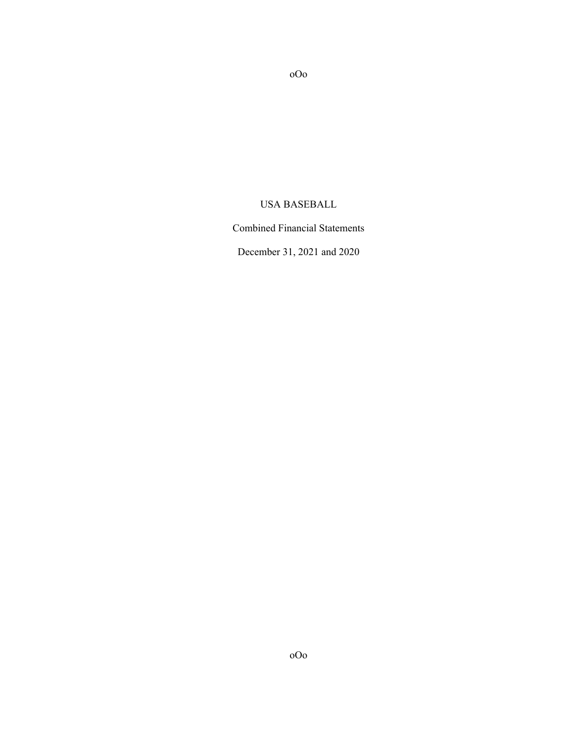# USA BASEBALL

Combined Financial Statements

December 31, 2021 and 2020

oOo

oOo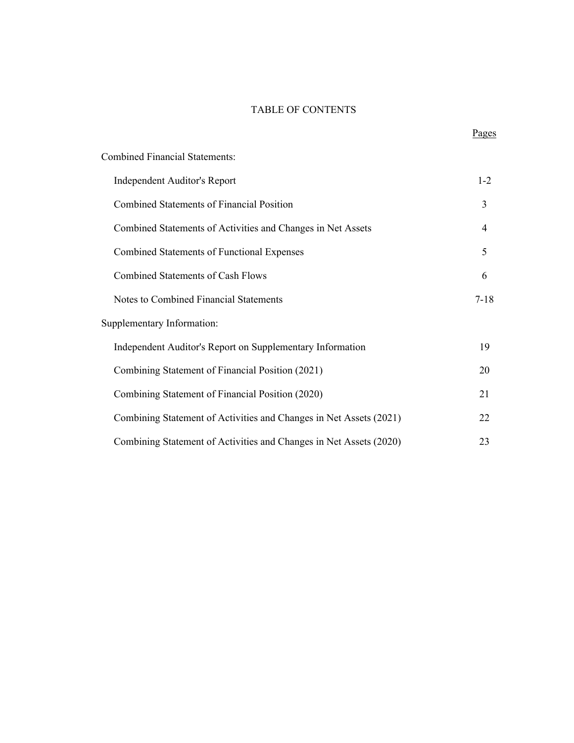# TABLE OF CONTENTS

| <b>Combined Financial Statements:</b>                              |                |
|--------------------------------------------------------------------|----------------|
| Independent Auditor's Report                                       | $1 - 2$        |
| <b>Combined Statements of Financial Position</b>                   | 3              |
| Combined Statements of Activities and Changes in Net Assets        | $\overline{4}$ |
| <b>Combined Statements of Functional Expenses</b>                  | 5              |
| <b>Combined Statements of Cash Flows</b>                           | 6              |
| Notes to Combined Financial Statements                             | $7 - 18$       |
| Supplementary Information:                                         |                |
| Independent Auditor's Report on Supplementary Information          | 19             |
| Combining Statement of Financial Position (2021)                   | 20             |
| Combining Statement of Financial Position (2020)                   | 21             |
| Combining Statement of Activities and Changes in Net Assets (2021) | 22             |
| Combining Statement of Activities and Changes in Net Assets (2020) | 23             |

# Pages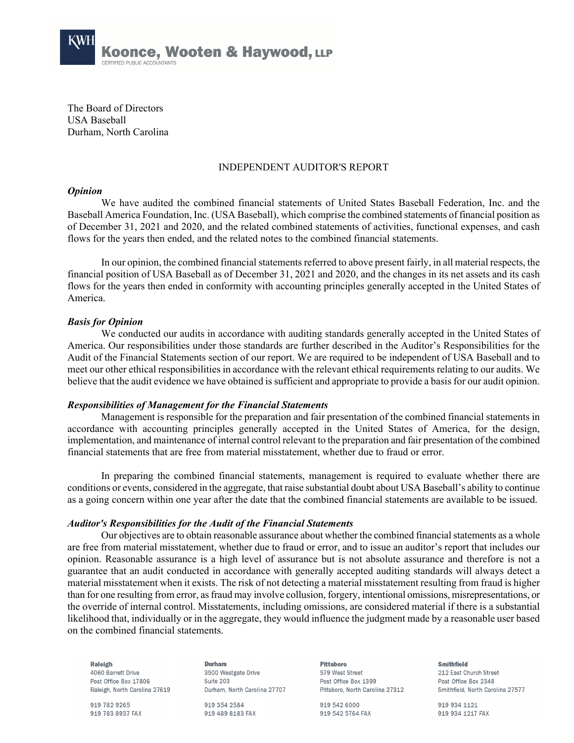

The Board of Directors USA Baseball Durham, North Carolina

### INDEPENDENT AUDITOR'S REPORT

### *Opinion*

We have audited the combined financial statements of United States Baseball Federation, Inc. and the Baseball America Foundation, Inc. (USA Baseball), which comprise the combined statements of financial position as of December 31, 2021 and 2020, and the related combined statements of activities, functional expenses, and cash flows for the years then ended, and the related notes to the combined financial statements.

In our opinion, the combined financial statements referred to above present fairly, in all material respects, the financial position of USA Baseball as of December 31, 2021 and 2020, and the changes in its net assets and its cash flows for the years then ended in conformity with accounting principles generally accepted in the United States of America.

### *Basis for Opinion*

We conducted our audits in accordance with auditing standards generally accepted in the United States of America. Our responsibilities under those standards are further described in the Auditor's Responsibilities for the Audit of the Financial Statements section of our report. We are required to be independent of USA Baseball and to meet our other ethical responsibilities in accordance with the relevant ethical requirements relating to our audits. We believe that the audit evidence we have obtained is sufficient and appropriate to provide a basis for our audit opinion.

### *Responsibilities of Management for the Financial Statements*

Management is responsible for the preparation and fair presentation of the combined financial statements in accordance with accounting principles generally accepted in the United States of America, for the design, implementation, and maintenance of internal control relevant to the preparation and fair presentation of the combined financial statements that are free from material misstatement, whether due to fraud or error.

In preparing the combined financial statements, management is required to evaluate whether there are conditions or events, considered in the aggregate, that raise substantial doubt about USA Baseball's ability to continue as a going concern within one year after the date that the combined financial statements are available to be issued.

### *Auditor's Responsibilities for the Audit of the Financial Statements*

Our objectives are to obtain reasonable assurance about whether the combined financial statements as a whole are free from material misstatement, whether due to fraud or error, and to issue an auditor's report that includes our opinion. Reasonable assurance is a high level of assurance but is not absolute assurance and therefore is not a guarantee that an audit conducted in accordance with generally accepted auditing standards will always detect a material misstatement when it exists. The risk of not detecting a material misstatement resulting from fraud is higher than for one resulting from error, as fraud may involve collusion, forgery, intentional omissions, misrepresentations, or the override of internal control. Misstatements, including omissions, are considered material if there is a substantial likelihood that, individually or in the aggregate, they would influence the judgment made by a reasonable user based on the combined financial statements.

Raleigh 4060 Barrett Drive Post Office Box 17806 Raleigh, North Carolina 27619

919 782 9265 919 783 8937 FAX

Durham 3500 Westgate Drive Suite 203 Durham, North Carolina 27707

919 354 2584 919 489 8183 FAX

**Pittsboro** 579 West Street Post Office Box 1399 Pittsboro, North Carolina 27312

919 542 6000 919 542 5764 FAX

**Smithfield** 212 East Church Street Post Office Box 2348 Smithfield, North Carolina 27577

919 934 1121 919 934 1217 FAX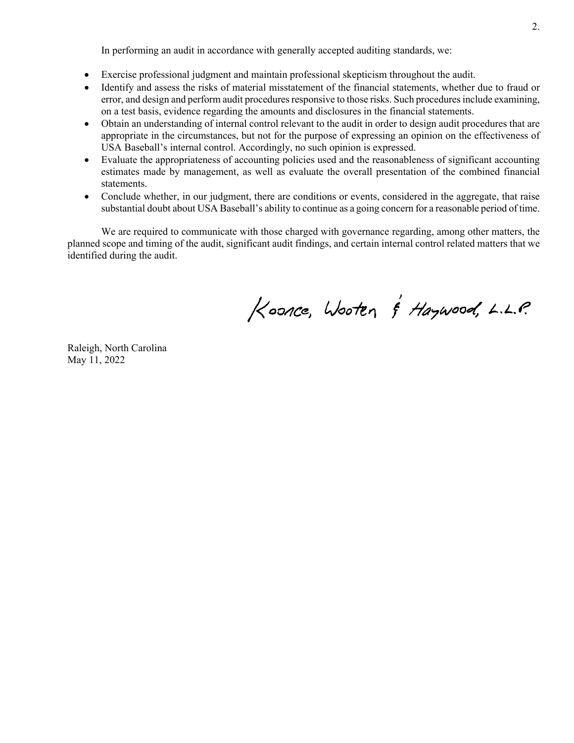In performing an audit in accordance with generally accepted auditing standards, we:

- Exercise professional judgment and maintain professional skepticism throughout the audit.
- Identify and assess the risks of material misstatement of the financial statements, whether due to fraud or error, and design and perform audit procedures responsive to those risks. Such procedures include examining, on a test basis, evidence regarding the amounts and disclosures in the financial statements.
- Obtain an understanding of internal control relevant to the audit in order to design audit procedures that are appropriate in the circumstances, but not for the purpose of expressing an opinion on the effectiveness of USA Baseball's internal control. Accordingly, no such opinion is expressed.
- Evaluate the appropriateness of accounting policies used and the reasonableness of significant accounting estimates made by management, as well as evaluate the overall presentation of the combined financial statements.
- Conclude whether, in our judgment, there are conditions or events, considered in the aggregate, that raise substantial doubt about USA Baseball's ability to continue as a going concern for a reasonable period of time.

We are required to communicate with those charged with governance regarding, among other matters, the planned scope and timing of the audit, significant audit findings, and certain internal control related matters that we identified during the audit.

Koonce, Wooten & Haywood, L.L.P.

Raleigh, North Carolina May 11, 2022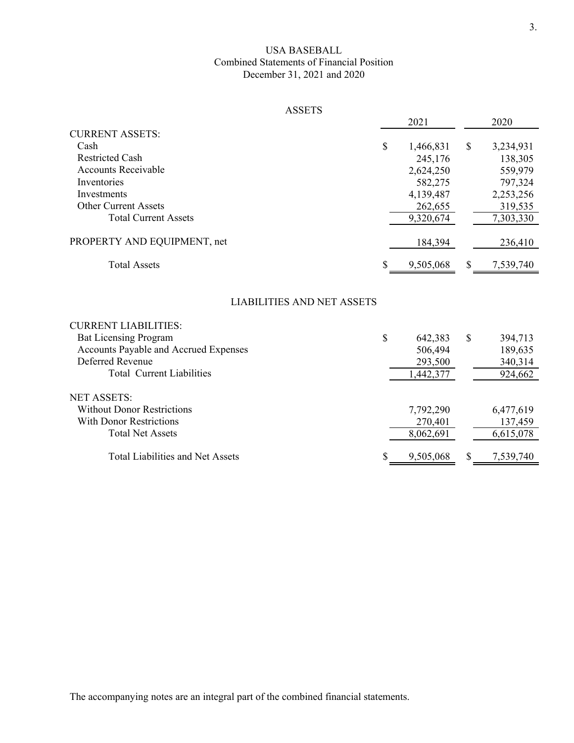# USA BASEBALL Combined Statements of Financial Position December 31, 2021 and 2020

# ASSETS

|                                       | 2021            |              | 2020      |
|---------------------------------------|-----------------|--------------|-----------|
| <b>CURRENT ASSETS:</b>                |                 |              |           |
| Cash                                  | \$<br>1,466,831 | $\mathbb{S}$ | 3,234,931 |
| <b>Restricted Cash</b>                | 245,176         |              | 138,305   |
| <b>Accounts Receivable</b>            | 2,624,250       |              | 559,979   |
| Inventories                           | 582,275         |              | 797,324   |
| Investments                           | 4,139,487       |              | 2,253,256 |
| Other Current Assets                  | 262,655         |              | 319,535   |
| <b>Total Current Assets</b>           | 9,320,674       |              | 7,303,330 |
| PROPERTY AND EQUIPMENT, net           | 184,394         |              | 236,410   |
| <b>Total Assets</b>                   | \$<br>9,505,068 | $\mathbb{S}$ | 7,539,740 |
| <b>LIABILITIES AND NET ASSETS</b>     |                 |              |           |
| <b>CURRENT LIABILITIES:</b>           |                 |              |           |
| <b>Bat Licensing Program</b>          | \$<br>642,383   | $\mathbb{S}$ | 394,713   |
| Accounts Payable and Accrued Expenses | 506,494         |              | 189,635   |
| Deferred Revenue                      | 293,500         |              | 340,314   |
| <b>Total Current Liabilities</b>      | 1,442,377       |              | 924,662   |
| <b>NET ASSETS:</b>                    |                 |              |           |
| <b>Without Donor Restrictions</b>     | 7,792,290       |              | 6,477,619 |
| <b>With Donor Restrictions</b>        | 270,401         |              | 137,459   |
| <b>Total Net Assets</b>               | 8,062,691       |              | 6,615,078 |

Total Liabilities and Net Assets  $$ 9,505,068 $ 7,539,740$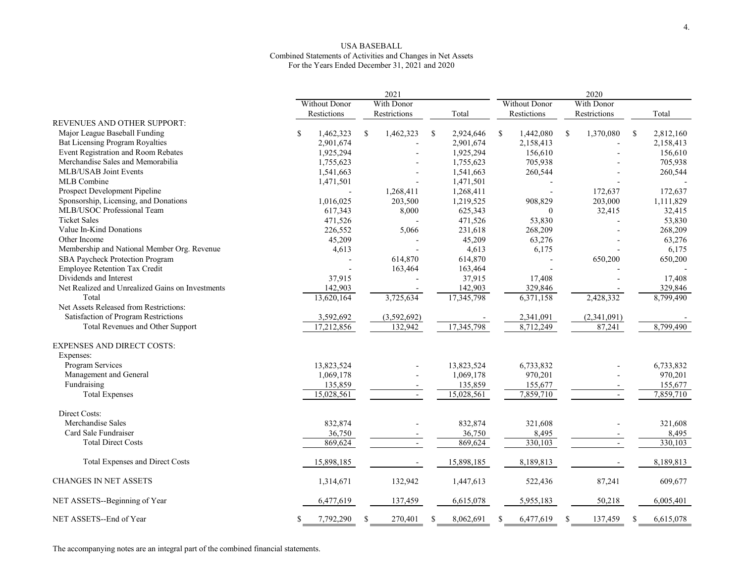|                                                  |                      | 2021 |                            |               |            |               | 2020                 |               |                |               |           |  |
|--------------------------------------------------|----------------------|------|----------------------------|---------------|------------|---------------|----------------------|---------------|----------------|---------------|-----------|--|
|                                                  | <b>Without Donor</b> |      | With Donor                 |               |            |               | <b>Without Donor</b> |               | With Donor     |               |           |  |
|                                                  | Restictions          |      | Restrictions               |               | Total      |               | Restictions          |               | Restrictions   |               | Total     |  |
| REVENUES AND OTHER SUPPORT:                      |                      |      |                            |               |            |               |                      |               |                |               |           |  |
| Major League Baseball Funding                    | \$<br>1,462,323      |      | <sup>\$</sup><br>1,462,323 | <sup>\$</sup> | 2,924,646  | \$            | 1,442,080            | \$            | 1,370,080      | <sup>\$</sup> | 2,812,160 |  |
| <b>Bat Licensing Program Royalties</b>           | 2,901,674            |      |                            |               | 2,901,674  |               | 2,158,413            |               |                |               | 2,158,413 |  |
| Event Registration and Room Rebates              | 1,925,294            |      |                            |               | 1,925,294  |               | 156,610              |               |                |               | 156,610   |  |
| Merchandise Sales and Memorabilia                | 1,755,623            |      |                            |               | 1,755,623  |               | 705,938              |               |                |               | 705,938   |  |
| MLB/USAB Joint Events                            | 1,541,663            |      |                            |               | 1,541,663  |               | 260,544              |               |                |               | 260,544   |  |
| MLB Combine                                      | 1,471,501            |      | $\overline{\phantom{a}}$   |               | 1,471,501  |               |                      |               |                |               |           |  |
| Prospect Development Pipeline                    |                      |      | 1,268,411                  |               | 1,268,411  |               | $\blacksquare$       |               | 172,637        |               | 172,637   |  |
| Sponsorship, Licensing, and Donations            | 1,016,025            |      | 203,500                    |               | 1,219,525  |               | 908,829              |               | 203,000        |               | 1,111,829 |  |
| MLB/USOC Professional Team                       | 617,343              |      | 8,000                      |               | 625,343    |               | $\Omega$             |               | 32,415         |               | 32,415    |  |
| <b>Ticket Sales</b>                              | 471,526              |      |                            |               | 471,526    |               | 53,830               |               |                |               | 53,830    |  |
| Value In-Kind Donations                          | 226,552              |      | 5,066                      |               | 231,618    |               | 268,209              |               |                |               | 268,209   |  |
| Other Income                                     | 45,209               |      |                            |               | 45,209     |               | 63,276               |               |                |               | 63,276    |  |
| Membership and National Member Org. Revenue      | 4,613                |      |                            |               | 4,613      |               | 6,175                |               |                |               | 6,175     |  |
| SBA Paycheck Protection Program                  |                      |      | 614,870                    |               | 614,870    |               |                      |               | 650,200        |               | 650,200   |  |
| <b>Employee Retention Tax Credit</b>             |                      |      | 163,464                    |               | 163,464    |               |                      |               |                |               |           |  |
| Dividends and Interest                           | 37,915               |      |                            |               | 37,915     |               | 17,408               |               |                |               | 17,408    |  |
| Net Realized and Unrealized Gains on Investments | 142,903              |      |                            |               | 142,903    |               | 329,846              |               |                |               | 329,846   |  |
| Total                                            | 13,620,164           |      | 3,725,634                  |               | 17,345,798 |               | 6,371,158            |               | 2,428,332      |               | 8,799,490 |  |
| Net Assets Released from Restrictions:           |                      |      |                            |               |            |               |                      |               |                |               |           |  |
| Satisfaction of Program Restrictions             | 3,592,692            |      | (3,592,692)                |               |            |               | 2,341,091            |               | (2,341,091)    |               |           |  |
| Total Revenues and Other Support                 | 17,212,856           |      | 132,942                    |               | 17,345,798 |               | 8,712,249            |               | 87,241         |               | 8,799,490 |  |
|                                                  |                      |      |                            |               |            |               |                      |               |                |               |           |  |
| <b>EXPENSES AND DIRECT COSTS:</b>                |                      |      |                            |               |            |               |                      |               |                |               |           |  |
| Expenses:                                        |                      |      |                            |               |            |               |                      |               |                |               |           |  |
| Program Services                                 | 13,823,524           |      |                            |               | 13,823,524 |               | 6,733,832            |               |                |               | 6,733,832 |  |
| Management and General                           | 1,069,178            |      |                            |               | 1,069,178  |               | 970,201              |               |                |               | 970,201   |  |
| Fundraising                                      | 135,859              |      |                            |               | 135,859    |               | 155,677              |               |                |               | 155,677   |  |
| <b>Total Expenses</b>                            | 15,028,561           |      | $\sim$                     |               | 15,028,561 |               | 7,859,710            |               | $\overline{a}$ |               | 7,859,710 |  |
|                                                  |                      |      |                            |               |            |               |                      |               |                |               |           |  |
| Direct Costs:                                    |                      |      |                            |               |            |               |                      |               |                |               |           |  |
| Merchandise Sales                                | 832,874              |      |                            |               | 832,874    |               | 321,608              |               |                |               | 321,608   |  |
| Card Sale Fundraiser                             | 36,750               |      |                            |               | 36,750     |               | 8,495                |               |                |               | 8,495     |  |
| <b>Total Direct Costs</b>                        | 869,624              |      |                            |               | 869,624    |               | 330,103              |               | $\blacksquare$ |               | 330,103   |  |
|                                                  |                      |      |                            |               |            |               |                      |               |                |               |           |  |
| <b>Total Expenses and Direct Costs</b>           | 15,898,185           |      |                            |               | 15,898,185 |               | 8,189,813            |               |                |               | 8,189,813 |  |
| <b>CHANGES IN NET ASSETS</b>                     | 1,314,671            |      | 132,942                    |               | 1,447,613  |               | 522,436              |               | 87,241         |               | 609,677   |  |
| NET ASSETS--Beginning of Year                    | 6,477,619            |      | 137,459                    |               | 6,615,078  |               | 5,955,183            |               | 50,218         |               | 6,005,401 |  |
| NET ASSETS--End of Year                          | S.<br>7,792,290      |      | <sup>\$</sup><br>270,401   | \$            | 8,062,691  | <sup>\$</sup> | 6,477,619            | <sup>\$</sup> | 137,459        | <sup>\$</sup> | 6,615,078 |  |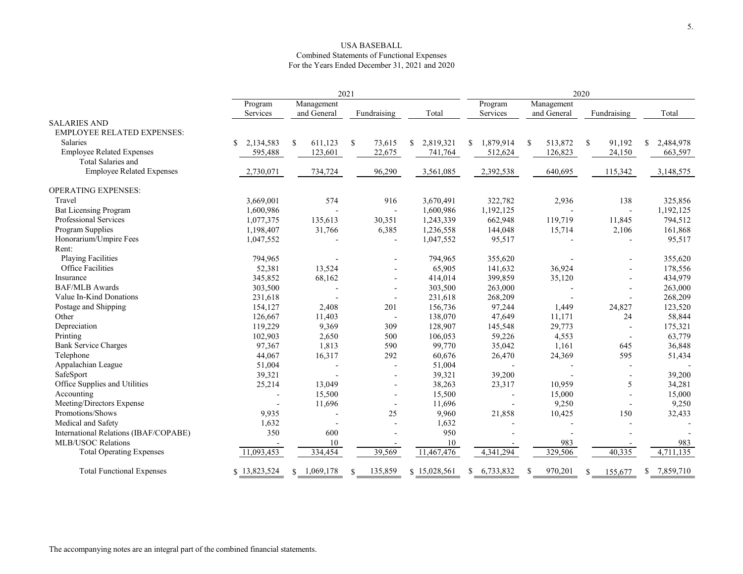#### USA BASEBALL Combined Statements of Functional Expenses For the Years Ended December 31, 2021 and 2020

|                                       |                     |                           | 2021                     |                 | 2020                |                           |                          |                 |  |
|---------------------------------------|---------------------|---------------------------|--------------------------|-----------------|---------------------|---------------------------|--------------------------|-----------------|--|
|                                       | Program<br>Services | Management<br>and General | Fundraising              | Total           | Program<br>Services | Management<br>and General | Fundraising              | Total           |  |
| <b>SALARIES AND</b>                   |                     |                           |                          |                 |                     |                           |                          |                 |  |
| <b>EMPLOYEE RELATED EXPENSES:</b>     |                     |                           |                          |                 |                     |                           |                          |                 |  |
| Salaries                              | 2,134,583<br>\$     | 611,123<br>\$             | \$<br>73,615             | 2,819,321<br>\$ | 1,879,914<br>\$     | 513,872<br>S              | \$<br>91,192             | 2,484,978<br>\$ |  |
| <b>Employee Related Expenses</b>      | 595,488             | 123,601                   | 22,675                   | 741,764         | 512,624             | 126,823                   | 24,150                   | 663,597         |  |
| <b>Total Salaries and</b>             |                     |                           |                          |                 |                     |                           |                          |                 |  |
| <b>Employee Related Expenses</b>      | 2,730,071           | 734,724                   | 96,290                   | 3,561,085       | 2,392,538           | 640,695                   | 115,342                  | 3,148,575       |  |
| <b>OPERATING EXPENSES:</b>            |                     |                           |                          |                 |                     |                           |                          |                 |  |
| Travel                                | 3,669,001           | 574                       | 916                      | 3,670,491       | 322,782             | 2,936                     | 138                      | 325,856         |  |
| <b>Bat Licensing Program</b>          | 1,600,986           |                           |                          | 1,600,986       | 1,192,125           |                           | $\overline{a}$           | 1,192,125       |  |
| Professional Services                 | 1,077,375           | 135,613                   | 30,351                   | 1,243,339       | 662,948             | 119,719                   | 11,845                   | 794,512         |  |
| Program Supplies                      | 1,198,407           | 31,766                    | 6,385                    | 1,236,558       | 144,048             | 15,714                    | 2,106                    | 161,868         |  |
| Honorarium/Umpire Fees                | 1,047,552           |                           |                          | 1,047,552       | 95,517              |                           |                          | 95,517          |  |
| Rent:                                 |                     |                           |                          |                 |                     |                           |                          |                 |  |
| <b>Playing Facilities</b>             | 794,965             |                           |                          | 794,965         | 355,620             |                           |                          | 355,620         |  |
| <b>Office Facilities</b>              | 52,381              | 13,524                    |                          | 65,905          | 141,632             | 36,924                    |                          | 178,556         |  |
| Insurance                             | 345,852             | 68,162                    |                          | 414,014         | 399,859             | 35,120                    |                          | 434,979         |  |
| <b>BAF/MLB</b> Awards                 | 303,500             |                           | $\overline{\phantom{a}}$ | 303,500         | 263,000             |                           | $\overline{a}$           | 263,000         |  |
| Value In-Kind Donations               | 231,618             |                           |                          | 231,618         | 268,209             |                           |                          | 268,209         |  |
| Postage and Shipping                  | 154,127             | 2,408                     | 201                      | 156,736         | 97,244              | 1,449                     | 24,827                   | 123,520         |  |
| Other                                 | 126,667             | 11,403                    | $\overline{a}$           | 138,070         | 47,649              | 11,171                    | 24                       | 58,844          |  |
| Depreciation                          | 119,229             | 9,369                     | 309                      | 128,907         | 145,548             | 29,773                    | $\overline{a}$           | 175,321         |  |
| Printing                              | 102,903             | 2,650                     | 500                      | 106,053         | 59,226              | 4,553                     | $\overline{\phantom{a}}$ | 63,779          |  |
| <b>Bank Service Charges</b>           | 97,367              | 1,813                     | 590                      | 99,770          | 35,042              | 1,161                     | 645                      | 36,848          |  |
| Telephone                             | 44,067              | 16,317                    | 292                      | 60,676          | 26,470              | 24,369                    | 595                      | 51,434          |  |
| Appalachian League                    | 51,004              |                           |                          | 51,004          |                     |                           |                          |                 |  |
| SafeSport                             | 39,321              |                           |                          | 39,321          | 39,200              |                           |                          | 39,200          |  |
| Office Supplies and Utilities         | 25,214              | 13,049                    |                          | 38,263          | 23,317              | 10,959                    | 5                        | 34,281          |  |
| Accounting                            |                     | 15,500                    |                          | 15,500          |                     | 15,000                    | ÷,                       | 15,000          |  |
| Meeting/Directors Expense             |                     | 11,696                    | $\blacksquare$           | 11,696          |                     | 9,250                     | $\overline{a}$           | 9,250           |  |
| Promotions/Shows                      | 9,935               |                           | 25                       | 9,960           | 21,858              | 10,425                    | 150                      | 32,433          |  |
| Medical and Safety                    | 1,632               | $\overline{\phantom{a}}$  |                          | 1,632           |                     |                           |                          |                 |  |
| International Relations (IBAF/COPABE) | 350                 | 600                       |                          | 950             |                     |                           |                          |                 |  |
| MLB/USOC Relations                    |                     | $10\,$                    |                          | $10\,$          |                     | 983                       |                          | 983             |  |
| <b>Total Operating Expenses</b>       | 11,093,453          | 334,454                   | 39,569                   | 11,467,476      | 4,341,294           | 329,506                   | 40,335                   | 4,711,135       |  |
| <b>Total Functional Expenses</b>      | \$13,823,524        | 1,069,178<br>S.           | 135,859                  | \$15,028,561    | 6,733,832<br>\$     | 970,201<br><sup>\$</sup>  | \$<br>155,677            | 7,859,710<br>\$ |  |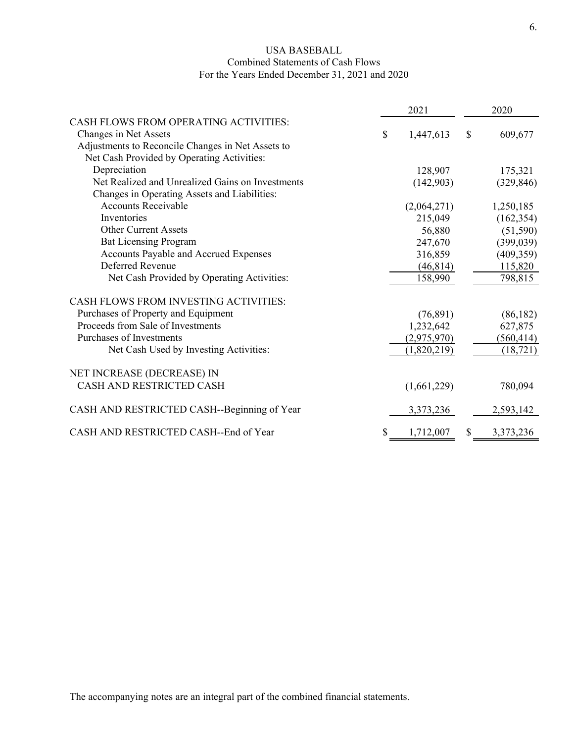# USA BASEBALL Combined Statements of Cash Flows For the Years Ended December 31, 2021 and 2020

|                                                   | 2021            |              |            |
|---------------------------------------------------|-----------------|--------------|------------|
| CASH FLOWS FROM OPERATING ACTIVITIES:             |                 |              |            |
| Changes in Net Assets                             | \$<br>1,447,613 | $\mathbb{S}$ | 609,677    |
| Adjustments to Reconcile Changes in Net Assets to |                 |              |            |
| Net Cash Provided by Operating Activities:        |                 |              |            |
| Depreciation                                      | 128,907         |              | 175,321    |
| Net Realized and Unrealized Gains on Investments  | (142,903)       |              | (329, 846) |
| Changes in Operating Assets and Liabilities:      |                 |              |            |
| <b>Accounts Receivable</b>                        | (2,064,271)     |              | 1,250,185  |
| Inventories                                       | 215,049         |              | (162, 354) |
| Other Current Assets                              | 56,880          |              | (51, 590)  |
| <b>Bat Licensing Program</b>                      | 247,670         |              | (399, 039) |
| Accounts Payable and Accrued Expenses             | 316,859         |              | (409, 359) |
| Deferred Revenue                                  | (46, 814)       |              | 115,820    |
| Net Cash Provided by Operating Activities:        | 158,990         |              | 798,815    |
| CASH FLOWS FROM INVESTING ACTIVITIES:             |                 |              |            |
| Purchases of Property and Equipment               | (76, 891)       |              | (86, 182)  |
| Proceeds from Sale of Investments                 | 1,232,642       |              | 627,875    |
| Purchases of Investments                          | (2,975,970)     |              | (560, 414) |
| Net Cash Used by Investing Activities:            | (1,820,219)     |              | (18, 721)  |
| NET INCREASE (DECREASE) IN                        |                 |              |            |
| CASH AND RESTRICTED CASH                          | (1,661,229)     |              | 780,094    |
| CASH AND RESTRICTED CASH--Beginning of Year       | 3,373,236       |              | 2,593,142  |
| CASH AND RESTRICTED CASH--End of Year             | \$<br>1,712,007 | \$           | 3,373,236  |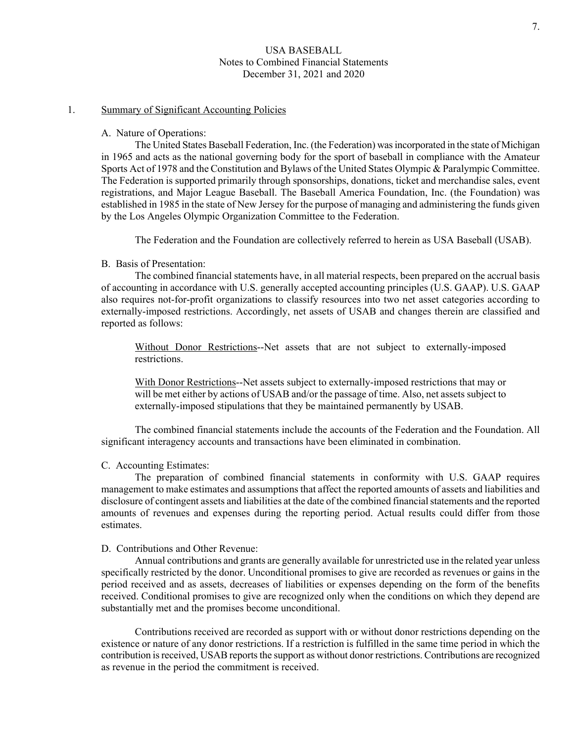### 1. Summary of Significant Accounting Policies

#### A. Nature of Operations:

 The United States Baseball Federation, Inc. (the Federation) was incorporated in the state of Michigan in 1965 and acts as the national governing body for the sport of baseball in compliance with the Amateur Sports Act of 1978 and the Constitution and Bylaws of the United States Olympic & Paralympic Committee. The Federation is supported primarily through sponsorships, donations, ticket and merchandise sales, event registrations, and Major League Baseball. The Baseball America Foundation, Inc. (the Foundation) was established in 1985 in the state of New Jersey for the purpose of managing and administering the funds given by the Los Angeles Olympic Organization Committee to the Federation.

The Federation and the Foundation are collectively referred to herein as USA Baseball (USAB).

### B. Basis of Presentation:

 The combined financial statements have, in all material respects, been prepared on the accrual basis of accounting in accordance with U.S. generally accepted accounting principles (U.S. GAAP). U.S. GAAP also requires not-for-profit organizations to classify resources into two net asset categories according to externally-imposed restrictions. Accordingly, net assets of USAB and changes therein are classified and reported as follows:

Without Donor Restrictions--Net assets that are not subject to externally-imposed restrictions.

With Donor Restrictions--Net assets subject to externally-imposed restrictions that may or will be met either by actions of USAB and/or the passage of time. Also, net assets subject to externally-imposed stipulations that they be maintained permanently by USAB.

 The combined financial statements include the accounts of the Federation and the Foundation. All significant interagency accounts and transactions have been eliminated in combination.

#### C. Accounting Estimates:

 The preparation of combined financial statements in conformity with U.S. GAAP requires management to make estimates and assumptions that affect the reported amounts of assets and liabilities and disclosure of contingent assets and liabilities at the date of the combined financial statements and the reported amounts of revenues and expenses during the reporting period. Actual results could differ from those estimates.

### D. Contributions and Other Revenue:

 Annual contributions and grants are generally available for unrestricted use in the related year unless specifically restricted by the donor. Unconditional promises to give are recorded as revenues or gains in the period received and as assets, decreases of liabilities or expenses depending on the form of the benefits received. Conditional promises to give are recognized only when the conditions on which they depend are substantially met and the promises become unconditional.

 Contributions received are recorded as support with or without donor restrictions depending on the existence or nature of any donor restrictions. If a restriction is fulfilled in the same time period in which the contribution is received, USAB reports the support as without donor restrictions. Contributions are recognized as revenue in the period the commitment is received.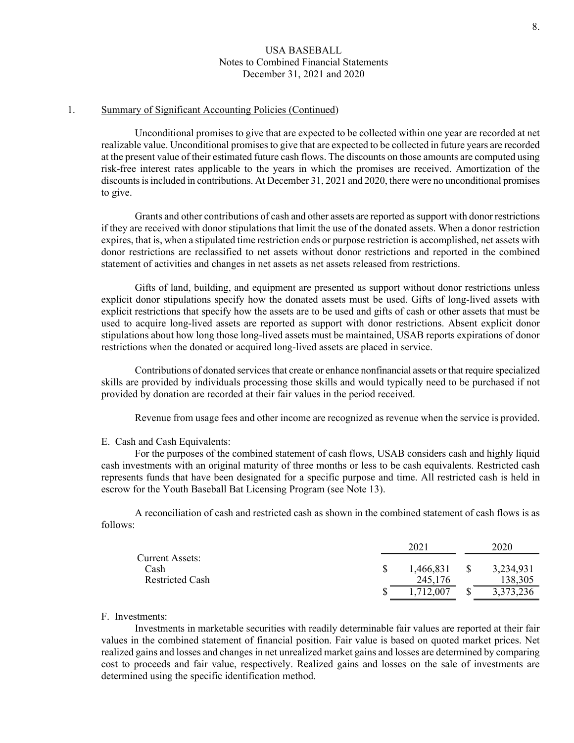### 1. Summary of Significant Accounting Policies (Continued)

 Unconditional promises to give that are expected to be collected within one year are recorded at net realizable value. Unconditional promises to give that are expected to be collected in future years are recorded at the present value of their estimated future cash flows. The discounts on those amounts are computed using risk-free interest rates applicable to the years in which the promises are received. Amortization of the discounts is included in contributions. At December 31, 2021 and 2020, there were no unconditional promises to give.

 Grants and other contributions of cash and other assets are reported as support with donor restrictions if they are received with donor stipulations that limit the use of the donated assets. When a donor restriction expires, that is, when a stipulated time restriction ends or purpose restriction is accomplished, net assets with donor restrictions are reclassified to net assets without donor restrictions and reported in the combined statement of activities and changes in net assets as net assets released from restrictions.

 Gifts of land, building, and equipment are presented as support without donor restrictions unless explicit donor stipulations specify how the donated assets must be used. Gifts of long-lived assets with explicit restrictions that specify how the assets are to be used and gifts of cash or other assets that must be used to acquire long-lived assets are reported as support with donor restrictions. Absent explicit donor stipulations about how long those long-lived assets must be maintained, USAB reports expirations of donor restrictions when the donated or acquired long-lived assets are placed in service.

 Contributions of donated services that create or enhance nonfinancial assets or that require specialized skills are provided by individuals processing those skills and would typically need to be purchased if not provided by donation are recorded at their fair values in the period received.

Revenue from usage fees and other income are recognized as revenue when the service is provided.

#### E. Cash and Cash Equivalents:

 For the purposes of the combined statement of cash flows, USAB considers cash and highly liquid cash investments with an original maturity of three months or less to be cash equivalents. Restricted cash represents funds that have been designated for a specific purpose and time. All restricted cash is held in escrow for the Youth Baseball Bat Licensing Program (see Note 13).

 A reconciliation of cash and restricted cash as shown in the combined statement of cash flows is as follows:

|                        |    | 2021      |   | 2020      |
|------------------------|----|-----------|---|-----------|
| <b>Current Assets:</b> |    |           |   |           |
| Cash                   | \$ | 1,466,831 |   | 3,234,931 |
| <b>Restricted Cash</b> |    | 245,176   |   | 138,305   |
|                        |    | 12,007    | P | 3,373,236 |
|                        |    |           |   |           |

#### F. Investments:

 Investments in marketable securities with readily determinable fair values are reported at their fair values in the combined statement of financial position. Fair value is based on quoted market prices. Net realized gains and losses and changes in net unrealized market gains and losses are determined by comparing cost to proceeds and fair value, respectively. Realized gains and losses on the sale of investments are determined using the specific identification method.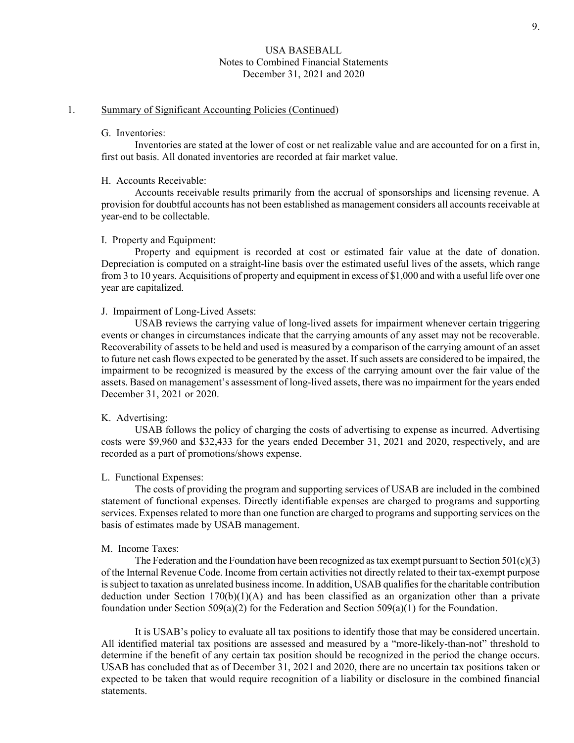### 1. Summary of Significant Accounting Policies (Continued)

#### G. Inventories:

 Inventories are stated at the lower of cost or net realizable value and are accounted for on a first in, first out basis. All donated inventories are recorded at fair market value.

#### H. Accounts Receivable:

 Accounts receivable results primarily from the accrual of sponsorships and licensing revenue. A provision for doubtful accounts has not been established as management considers all accounts receivable at year-end to be collectable.

#### I. Property and Equipment:

 Property and equipment is recorded at cost or estimated fair value at the date of donation. Depreciation is computed on a straight-line basis over the estimated useful lives of the assets, which range from 3 to 10 years. Acquisitions of property and equipment in excess of \$1,000 and with a useful life over one year are capitalized.

#### J. Impairment of Long-Lived Assets:

 USAB reviews the carrying value of long-lived assets for impairment whenever certain triggering events or changes in circumstances indicate that the carrying amounts of any asset may not be recoverable. Recoverability of assets to be held and used is measured by a comparison of the carrying amount of an asset to future net cash flows expected to be generated by the asset. If such assets are considered to be impaired, the impairment to be recognized is measured by the excess of the carrying amount over the fair value of the assets. Based on management's assessment of long-lived assets, there was no impairment for the years ended December 31, 2021 or 2020.

### K. Advertising:

 USAB follows the policy of charging the costs of advertising to expense as incurred. Advertising costs were \$9,960 and \$32,433 for the years ended December 31, 2021 and 2020, respectively, and are recorded as a part of promotions/shows expense.

#### L. Functional Expenses:

The costs of providing the program and supporting services of USAB are included in the combined statement of functional expenses. Directly identifiable expenses are charged to programs and supporting services. Expenses related to more than one function are charged to programs and supporting services on the basis of estimates made by USAB management.

#### M. Income Taxes:

The Federation and the Foundation have been recognized as tax exempt pursuant to Section  $501(c)(3)$ of the Internal Revenue Code. Income from certain activities not directly related to their tax-exempt purpose is subject to taxation as unrelated business income. In addition, USAB qualifies for the charitable contribution deduction under Section  $170(b)(1)(A)$  and has been classified as an organization other than a private foundation under Section 509(a)(2) for the Federation and Section 509(a)(1) for the Foundation.

 It is USAB's policy to evaluate all tax positions to identify those that may be considered uncertain. All identified material tax positions are assessed and measured by a "more-likely-than-not" threshold to determine if the benefit of any certain tax position should be recognized in the period the change occurs. USAB has concluded that as of December 31, 2021 and 2020, there are no uncertain tax positions taken or expected to be taken that would require recognition of a liability or disclosure in the combined financial statements.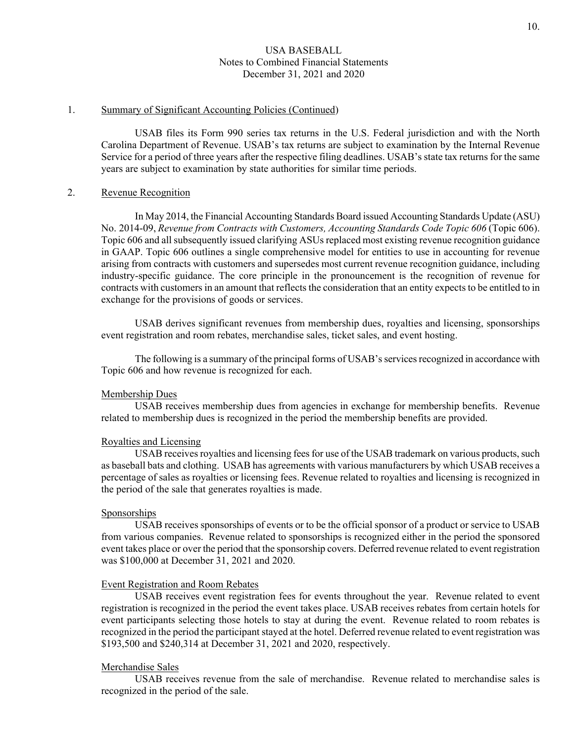### 1. Summary of Significant Accounting Policies (Continued)

 USAB files its Form 990 series tax returns in the U.S. Federal jurisdiction and with the North Carolina Department of Revenue. USAB's tax returns are subject to examination by the Internal Revenue Service for a period of three years after the respective filing deadlines. USAB's state tax returns for the same years are subject to examination by state authorities for similar time periods.

### 2. Revenue Recognition

In May 2014, the Financial Accounting Standards Board issued Accounting Standards Update (ASU) No. 2014-09, *Revenue from Contracts with Customers, Accounting Standards Code Topic 606* (Topic 606). Topic 606 and all subsequently issued clarifying ASUs replaced most existing revenue recognition guidance in GAAP. Topic 606 outlines a single comprehensive model for entities to use in accounting for revenue arising from contracts with customers and supersedes most current revenue recognition guidance, including industry-specific guidance. The core principle in the pronouncement is the recognition of revenue for contracts with customers in an amount that reflects the consideration that an entity expects to be entitled to in exchange for the provisions of goods or services.

USAB derives significant revenues from membership dues, royalties and licensing, sponsorships event registration and room rebates, merchandise sales, ticket sales, and event hosting.

The following is a summary of the principal forms of USAB's services recognized in accordance with Topic 606 and how revenue is recognized for each.

#### Membership Dues

USAB receives membership dues from agencies in exchange for membership benefits. Revenue related to membership dues is recognized in the period the membership benefits are provided.

#### Royalties and Licensing

USAB receives royalties and licensing fees for use of the USAB trademark on various products, such as baseball bats and clothing. USAB has agreements with various manufacturers by which USAB receives a percentage of sales as royalties or licensing fees. Revenue related to royalties and licensing is recognized in the period of the sale that generates royalties is made.

#### Sponsorships

USAB receives sponsorships of events or to be the official sponsor of a product or service to USAB from various companies. Revenue related to sponsorships is recognized either in the period the sponsored event takes place or over the period that the sponsorship covers. Deferred revenue related to event registration was \$100,000 at December 31, 2021 and 2020.

#### Event Registration and Room Rebates

USAB receives event registration fees for events throughout the year. Revenue related to event registration is recognized in the period the event takes place. USAB receives rebates from certain hotels for event participants selecting those hotels to stay at during the event. Revenue related to room rebates is recognized in the period the participant stayed at the hotel. Deferred revenue related to event registration was \$193,500 and \$240,314 at December 31, 2021 and 2020, respectively.

### Merchandise Sales

USAB receives revenue from the sale of merchandise. Revenue related to merchandise sales is recognized in the period of the sale.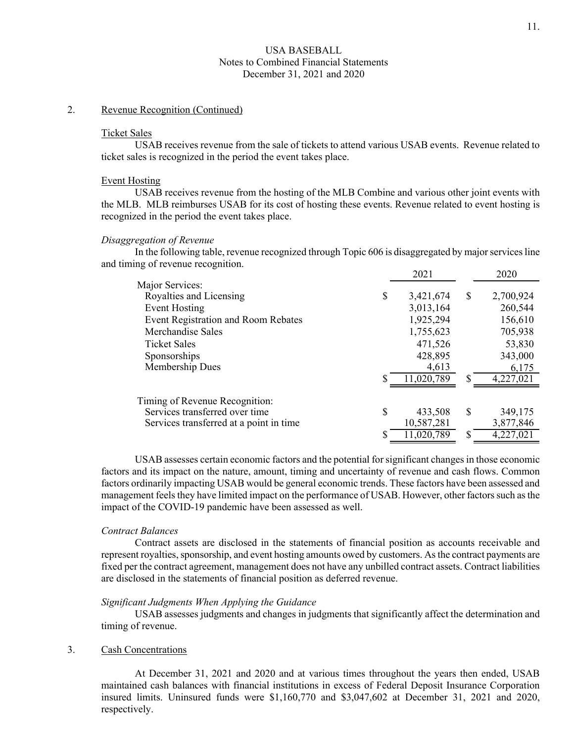### 2. Revenue Recognition (Continued)

#### Ticket Sales

USAB receives revenue from the sale of tickets to attend various USAB events. Revenue related to ticket sales is recognized in the period the event takes place.

#### Event Hosting

USAB receives revenue from the hosting of the MLB Combine and various other joint events with the MLB. MLB reimburses USAB for its cost of hosting these events. Revenue related to event hosting is recognized in the period the event takes place.

#### *Disaggregation of Revenue*

In the following table, revenue recognized through Topic 606 is disaggregated by major services line and timing of revenue recognition.

|                                         |    | 2021       |    | 2020      |
|-----------------------------------------|----|------------|----|-----------|
| Major Services:                         |    |            |    |           |
| Royalties and Licensing                 | \$ | 3,421,674  | \$ | 2,700,924 |
| <b>Event Hosting</b>                    |    | 3,013,164  |    | 260,544   |
| Event Registration and Room Rebates     |    | 1,925,294  |    | 156,610   |
| Merchandise Sales                       |    | 1,755,623  |    | 705,938   |
| <b>Ticket Sales</b>                     |    | 471,526    |    | 53,830    |
| Sponsorships                            |    | 428,895    |    | 343,000   |
| Membership Dues                         |    | 4,613      |    | 6,175     |
|                                         | S  | 11,020,789 | S  | 4,227,021 |
|                                         |    |            |    |           |
| Timing of Revenue Recognition:          |    |            |    |           |
| Services transferred over time          | \$ | 433,508    | \$ | 349,175   |
| Services transferred at a point in time |    | 10,587,281 |    | 3,877,846 |
|                                         | S  | 11,020,789 | \$ | 4,227,021 |
|                                         |    |            |    |           |

USAB assesses certain economic factors and the potential for significant changes in those economic factors and its impact on the nature, amount, timing and uncertainty of revenue and cash flows. Common factors ordinarily impacting USAB would be general economic trends. These factors have been assessed and management feels they have limited impact on the performance of USAB. However, other factors such as the impact of the COVID-19 pandemic have been assessed as well.

### *Contract Balances*

Contract assets are disclosed in the statements of financial position as accounts receivable and represent royalties, sponsorship, and event hosting amounts owed by customers. As the contract payments are fixed per the contract agreement, management does not have any unbilled contract assets. Contract liabilities are disclosed in the statements of financial position as deferred revenue.

#### *Significant Judgments When Applying the Guidance*

USAB assesses judgments and changes in judgments that significantly affect the determination and timing of revenue.

#### 3. Cash Concentrations

At December 31, 2021 and 2020 and at various times throughout the years then ended, USAB maintained cash balances with financial institutions in excess of Federal Deposit Insurance Corporation insured limits. Uninsured funds were \$1,160,770 and \$3,047,602 at December 31, 2021 and 2020, respectively.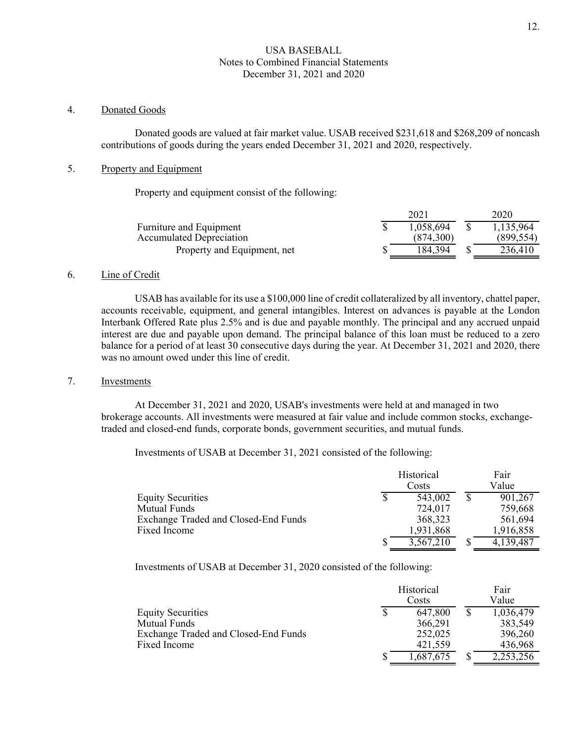### 4. Donated Goods

 Donated goods are valued at fair market value. USAB received \$231,618 and \$268,209 of noncash contributions of goods during the years ended December 31, 2021 and 2020, respectively.

#### 5. Property and Equipment

Property and equipment consist of the following:

|                                 | 2021      | 2020       |
|---------------------------------|-----------|------------|
| Furniture and Equipment         | 1,058,694 | 1.135.964  |
| <b>Accumulated Depreciation</b> | (874,300) | (899, 554) |
| Property and Equipment, net     | 184.394   | 236,410    |

#### 6. Line of Credit

 USAB has available for its use a \$100,000 line of credit collateralized by all inventory, chattel paper, accounts receivable, equipment, and general intangibles. Interest on advances is payable at the London Interbank Offered Rate plus 2.5% and is due and payable monthly. The principal and any accrued unpaid interest are due and payable upon demand. The principal balance of this loan must be reduced to a zero balance for a period of at least 30 consecutive days during the year. At December 31, 2021 and 2020, there was no amount owed under this line of credit.

### 7. Investments

 At December 31, 2021 and 2020, USAB's investments were held at and managed in two brokerage accounts. All investments were measured at fair value and include common stocks, exchangetraded and closed-end funds, corporate bonds, government securities, and mutual funds.

Investments of USAB at December 31, 2021 consisted of the following:

|                                      | Historical<br>Costs |   | Fair<br>Value |
|--------------------------------------|---------------------|---|---------------|
| <b>Equity Securities</b>             | \$<br>543,002       | S | 901,267       |
| <b>Mutual Funds</b>                  | 724,017             |   | 759,668       |
| Exchange Traded and Closed-End Funds | 368,323             |   | 561,694       |
| Fixed Income                         | 1,931,868           |   | 1,916,858     |
|                                      | \$<br>3,567,210     |   | 4,139,487     |

Investments of USAB at December 31, 2020 consisted of the following:

|                                      | Historical |           |   | Fair      |
|--------------------------------------|------------|-----------|---|-----------|
|                                      |            | Costs     |   | Value     |
| <b>Equity Securities</b>             | \$         | 647,800   | S | 1,036,479 |
| <b>Mutual Funds</b>                  |            | 366,291   |   | 383,549   |
| Exchange Traded and Closed-End Funds |            | 252,025   |   | 396,260   |
| Fixed Income                         |            | 421,559   |   | 436,968   |
|                                      | \$         | 1,687,675 |   | 2,253,256 |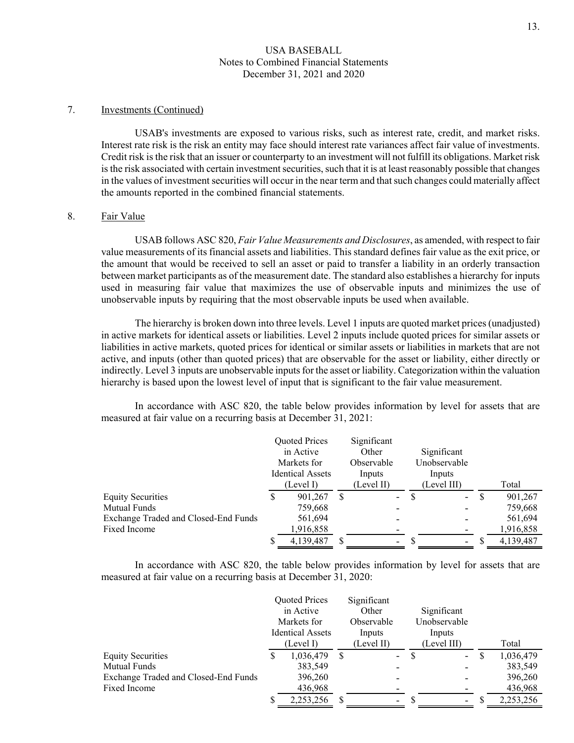### 7. Investments (Continued)

 USAB's investments are exposed to various risks, such as interest rate, credit, and market risks. Interest rate risk is the risk an entity may face should interest rate variances affect fair value of investments. Credit risk is the risk that an issuer or counterparty to an investment will not fulfill its obligations. Market risk is the risk associated with certain investment securities, such that it is at least reasonably possible that changes in the values of investment securities will occur in the near term and that such changes could materially affect the amounts reported in the combined financial statements.

## 8. Fair Value

 USAB follows ASC 820, *Fair Value Measurements and Disclosures*, as amended, with respect to fair value measurements of its financial assets and liabilities. This standard defines fair value as the exit price, or the amount that would be received to sell an asset or paid to transfer a liability in an orderly transaction between market participants as of the measurement date. The standard also establishes a hierarchy for inputs used in measuring fair value that maximizes the use of observable inputs and minimizes the use of unobservable inputs by requiring that the most observable inputs be used when available.

 The hierarchy is broken down into three levels. Level 1 inputs are quoted market prices (unadjusted) in active markets for identical assets or liabilities. Level 2 inputs include quoted prices for similar assets or liabilities in active markets, quoted prices for identical or similar assets or liabilities in markets that are not active, and inputs (other than quoted prices) that are observable for the asset or liability, either directly or indirectly. Level 3 inputs are unobservable inputs for the asset or liability. Categorization within the valuation hierarchy is based upon the lowest level of input that is significant to the fair value measurement.

In accordance with ASC 820, the table below provides information by level for assets that are measured at fair value on a recurring basis at December 31, 2021:

|                                      |   | <b>Quoted Prices</b><br>in Active<br>Markets for<br><b>Identical Assets</b><br>(Level I) |    | Significant<br>Other<br>Observable<br>Inputs<br>(Level II) | Significant<br>Unobservable<br>Inputs<br>(Level III) | Total     |
|--------------------------------------|---|------------------------------------------------------------------------------------------|----|------------------------------------------------------------|------------------------------------------------------|-----------|
| <b>Equity Securities</b>             | S | 901,267                                                                                  | -S | $\sim$                                                     | $\overline{a}$                                       | 901,267   |
| Mutual Funds                         |   | 759,668                                                                                  |    |                                                            |                                                      | 759,668   |
| Exchange Traded and Closed-End Funds |   | 561,694                                                                                  |    |                                                            |                                                      | 561,694   |
| Fixed Income                         |   | 1,916,858                                                                                |    |                                                            |                                                      | 1,916,858 |
|                                      |   | 4,139,487                                                                                |    | ٠                                                          |                                                      | 4,139,487 |

In accordance with ASC 820, the table below provides information by level for assets that are measured at fair value on a recurring basis at December 31, 2020:

|                                      |   | Quoted Prices           |    | Significant    |              |   |           |
|--------------------------------------|---|-------------------------|----|----------------|--------------|---|-----------|
|                                      |   | in Active               |    | Other          | Significant  |   |           |
|                                      |   | Markets for             |    | Observable     | Unobservable |   |           |
|                                      |   | <b>Identical Assets</b> |    | Inputs         | Inputs       |   |           |
|                                      |   | (Level I)               |    | (Level II)     | (Level III)  |   | Total     |
| <b>Equity Securities</b>             | S | 1,036,479               | -S | $\blacksquare$ | $\sim$       | S | 1,036,479 |
| Mutual Funds                         |   | 383,549                 |    |                |              |   | 383,549   |
| Exchange Traded and Closed-End Funds |   | 396,260                 |    | -              |              |   | 396,260   |
| Fixed Income                         |   | 436,968                 |    | -              |              |   | 436,968   |
|                                      |   | 2,253,256               |    | -              |              |   | 2,253,256 |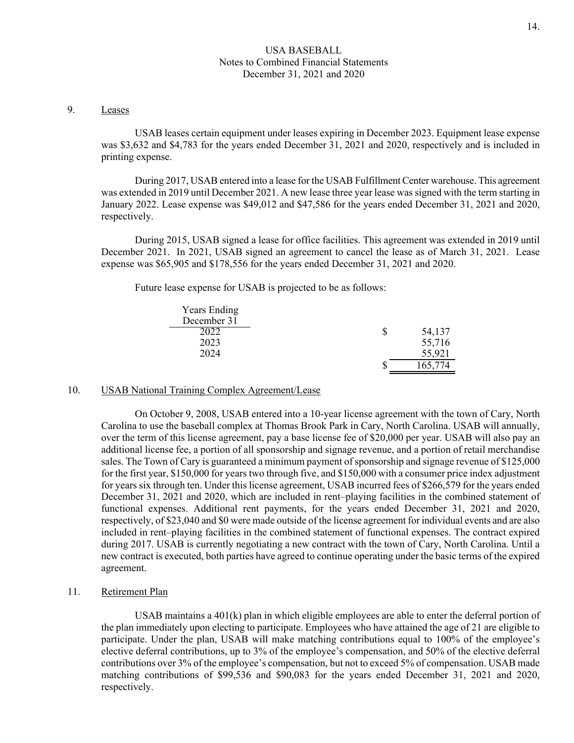# 9. Leases

 USAB leases certain equipment under leases expiring in December 2023. Equipment lease expense was \$3,632 and \$4,783 for the years ended December 31, 2021 and 2020, respectively and is included in printing expense.

During 2017, USAB entered into a lease for the USAB Fulfillment Center warehouse. This agreement was extended in 2019 until December 2021. A new lease three year lease was signed with the term starting in January 2022. Lease expense was \$49,012 and \$47,586 for the years ended December 31, 2021 and 2020, respectively.

During 2015, USAB signed a lease for office facilities. This agreement was extended in 2019 until December 2021. In 2021, USAB signed an agreement to cancel the lease as of March 31, 2021. Lease expense was \$65,905 and \$178,556 for the years ended December 31, 2021 and 2020.

Future lease expense for USAB is projected to be as follows:

| <b>Years Ending</b> |         |
|---------------------|---------|
| December 31         |         |
|                     | 54,137  |
| 2023                | 55,716  |
| 2024                | 55,921  |
|                     | 165,774 |

### 10. USAB National Training Complex Agreement/Lease

On October 9, 2008, USAB entered into a 10-year license agreement with the town of Cary, North Carolina to use the baseball complex at Thomas Brook Park in Cary, North Carolina. USAB will annually, over the term of this license agreement, pay a base license fee of \$20,000 per year. USAB will also pay an additional license fee, a portion of all sponsorship and signage revenue, and a portion of retail merchandise sales. The Town of Cary is guaranteed a minimum payment of sponsorship and signage revenue of \$125,000 for the first year, \$150,000 for years two through five, and \$150,000 with a consumer price index adjustment for years six through ten. Under this license agreement, USAB incurred fees of \$266,579 for the years ended December 31, 2021 and 2020, which are included in rent-playing facilities in the combined statement of functional expenses. Additional rent payments, for the years ended December 31, 2021 and 2020, respectively, of \$23,040 and \$0 were made outside of the license agreement for individual events and are also included in rent‒playing facilities in the combined statement of functional expenses. The contract expired during 2017. USAB is currently negotiating a new contract with the town of Cary, North Carolina. Until a new contract is executed, both parties have agreed to continue operating under the basic terms of the expired agreement.

11. Retirement Plan

USAB maintains a 401(k) plan in which eligible employees are able to enter the deferral portion of the plan immediately upon electing to participate. Employees who have attained the age of 21 are eligible to participate. Under the plan, USAB will make matching contributions equal to 100% of the employee's elective deferral contributions, up to 3% of the employee's compensation, and 50% of the elective deferral contributions over 3% of the employee's compensation, but not to exceed 5% of compensation. USAB made matching contributions of \$99,536 and \$90,083 for the years ended December 31, 2021 and 2020, respectively.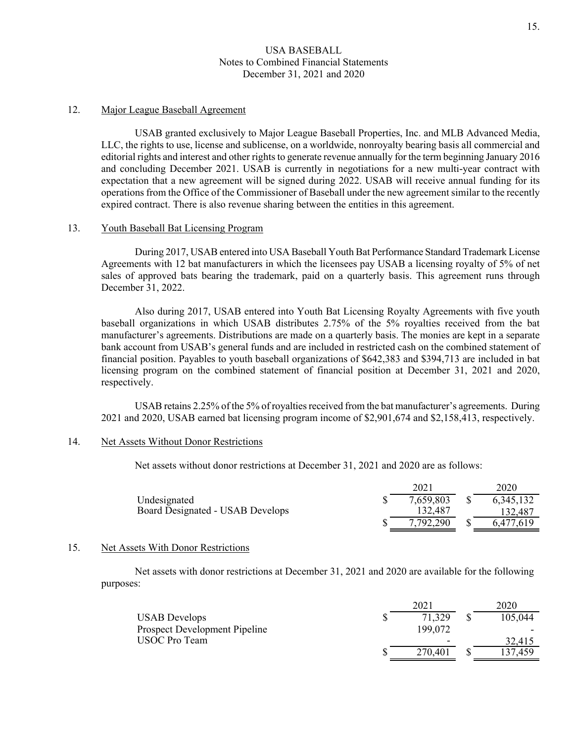### 12. Major League Baseball Agreement

USAB granted exclusively to Major League Baseball Properties, Inc. and MLB Advanced Media, LLC, the rights to use, license and sublicense, on a worldwide, nonroyalty bearing basis all commercial and editorial rights and interest and other rights to generate revenue annually for the term beginning January 2016 and concluding December 2021. USAB is currently in negotiations for a new multi-year contract with expectation that a new agreement will be signed during 2022. USAB will receive annual funding for its operations from the Office of the Commissioner of Baseball under the new agreement similar to the recently expired contract. There is also revenue sharing between the entities in this agreement.

#### 13. Youth Baseball Bat Licensing Program

During 2017, USAB entered into USA Baseball Youth Bat Performance Standard Trademark License Agreements with 12 bat manufacturers in which the licensees pay USAB a licensing royalty of 5% of net sales of approved bats bearing the trademark, paid on a quarterly basis. This agreement runs through December 31, 2022.

Also during 2017, USAB entered into Youth Bat Licensing Royalty Agreements with five youth baseball organizations in which USAB distributes 2.75% of the 5% royalties received from the bat manufacturer's agreements. Distributions are made on a quarterly basis. The monies are kept in a separate bank account from USAB's general funds and are included in restricted cash on the combined statement of financial position. Payables to youth baseball organizations of \$642,383 and \$394,713 are included in bat licensing program on the combined statement of financial position at December 31, 2021 and 2020, respectively.

USAB retains 2.25% of the 5% of royalties received from the bat manufacturer's agreements. During 2021 and 2020, USAB earned bat licensing program income of \$2,901,674 and \$2,158,413, respectively.

### 14. Net Assets Without Donor Restrictions

Net assets without donor restrictions at December 31, 2021 and 2020 are as follows:

|                                  | 2021      | 2020      |
|----------------------------------|-----------|-----------|
| Undesignated                     | 7,659,803 | 6,345,132 |
| Board Designated - USAB Develops | 132,487   | 132.487   |
|                                  | 7,792,290 | 6,477,619 |

#### 15. Net Assets With Donor Restrictions

Net assets with donor restrictions at December 31, 2021 and 2020 are available for the following purposes:

|                                      |   |         | 2020    |
|--------------------------------------|---|---------|---------|
| <b>USAB</b> Develops                 |   | 71,329  | 105,044 |
| <b>Prospect Development Pipeline</b> |   | 199,072 |         |
| <b>USOC</b> Pro Team                 |   | -       | 32.415  |
|                                      | J | 270,401 | 1.459   |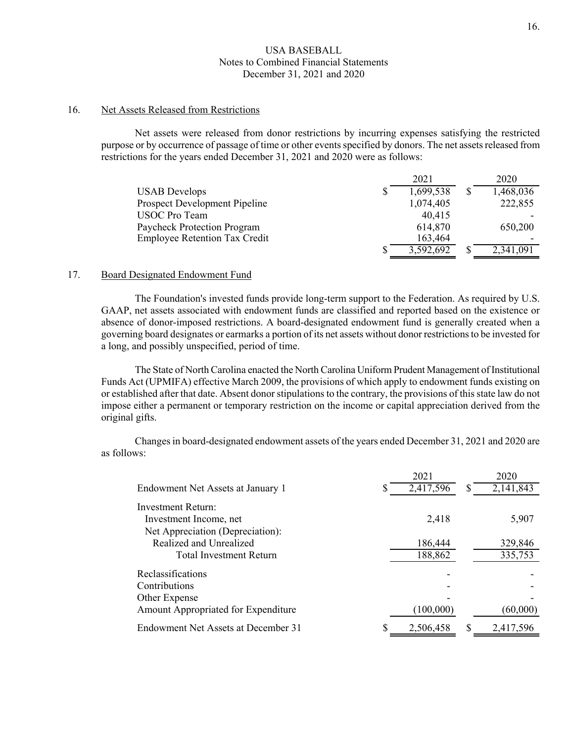### 16. Net Assets Released from Restrictions

Net assets were released from donor restrictions by incurring expenses satisfying the restricted purpose or by occurrence of passage of time or other events specified by donors. The net assets released from restrictions for the years ended December 31, 2021 and 2020 were as follows:

|                                      |   | 2021      | 2020            |
|--------------------------------------|---|-----------|-----------------|
| <b>USAB</b> Develops                 | S | 1,699,538 | \$<br>1,468,036 |
| <b>Prospect Development Pipeline</b> |   | 1,074,405 | 222,855         |
| <b>USOC</b> Pro Team                 |   | 40,415    |                 |
| <b>Paycheck Protection Program</b>   |   | 614,870   | 650,200         |
| <b>Employee Retention Tax Credit</b> |   | 163,464   |                 |
|                                      |   | 3,592,692 | 2,341,091       |

#### 17. Board Designated Endowment Fund

 The Foundation's invested funds provide long-term support to the Federation. As required by U.S. GAAP, net assets associated with endowment funds are classified and reported based on the existence or absence of donor-imposed restrictions. A board-designated endowment fund is generally created when a governing board designates or earmarks a portion of its net assets without donor restrictions to be invested for a long, and possibly unspecified, period of time.

 The State of North Carolina enacted the North Carolina Uniform Prudent Management of Institutional Funds Act (UPMIFA) effective March 2009, the provisions of which apply to endowment funds existing on or established after that date. Absent donor stipulations to the contrary, the provisions of this state law do not impose either a permanent or temporary restriction on the income or capital appreciation derived from the original gifts.

 Changes in board-designated endowment assets of the years ended December 31, 2021 and 2020 are as follows:

|                                     | 2021            |   | 2020      |
|-------------------------------------|-----------------|---|-----------|
| Endowment Net Assets at January 1   | \$<br>2,417,596 | S | 2,141,843 |
| Investment Return:                  |                 |   |           |
| Investment Income, net              | 2,418           |   | 5,907     |
| Net Appreciation (Depreciation):    |                 |   |           |
| Realized and Unrealized             | 186,444         |   | 329,846   |
| <b>Total Investment Return</b>      | 188,862         |   | 335,753   |
| Reclassifications                   |                 |   |           |
| Contributions                       |                 |   |           |
| Other Expense                       |                 |   |           |
| Amount Appropriated for Expenditure | (100,000)       |   | (60,000)  |
| Endowment Net Assets at December 31 | \$<br>2,506,458 | S | 2,417,596 |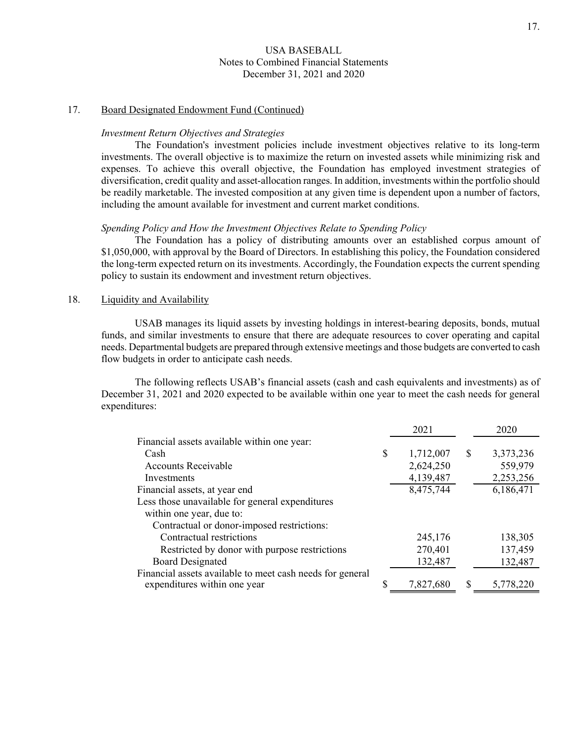### 17. Board Designated Endowment Fund (Continued)

#### *Investment Return Objectives and Strategies*

The Foundation's investment policies include investment objectives relative to its long-term investments. The overall objective is to maximize the return on invested assets while minimizing risk and expenses. To achieve this overall objective, the Foundation has employed investment strategies of diversification, credit quality and asset-allocation ranges. In addition, investments within the portfolio should be readily marketable. The invested composition at any given time is dependent upon a number of factors, including the amount available for investment and current market conditions.

#### *Spending Policy and How the Investment Objectives Relate to Spending Policy*

The Foundation has a policy of distributing amounts over an established corpus amount of \$1,050,000, with approval by the Board of Directors. In establishing this policy, the Foundation considered the long-term expected return on its investments. Accordingly, the Foundation expects the current spending policy to sustain its endowment and investment return objectives.

# 18. Liquidity and Availability

 USAB manages its liquid assets by investing holdings in interest-bearing deposits, bonds, mutual funds, and similar investments to ensure that there are adequate resources to cover operating and capital needs. Departmental budgets are prepared through extensive meetings and those budgets are converted to cash flow budgets in order to anticipate cash needs.

The following reflects USAB's financial assets (cash and cash equivalents and investments) as of December 31, 2021 and 2020 expected to be available within one year to meet the cash needs for general expenditures:

|                                                           | 2021            |   | 2020      |
|-----------------------------------------------------------|-----------------|---|-----------|
| Financial assets available within one year:               |                 |   |           |
| Cash                                                      | \$<br>1,712,007 | S | 3,373,236 |
| <b>Accounts Receivable</b>                                | 2,624,250       |   | 559,979   |
| Investments                                               | 4,139,487       |   | 2,253,256 |
| Financial assets, at year end                             | 8,475,744       |   | 6,186,471 |
| Less those unavailable for general expenditures           |                 |   |           |
| within one year, due to:                                  |                 |   |           |
| Contractual or donor-imposed restrictions:                |                 |   |           |
| Contractual restrictions                                  | 245,176         |   | 138,305   |
| Restricted by donor with purpose restrictions             | 270,401         |   | 137,459   |
| <b>Board Designated</b>                                   | 132,487         |   | 132,487   |
| Financial assets available to meet cash needs for general |                 |   |           |
| expenditures within one year                              | 7,827,680       | S | 5,778,220 |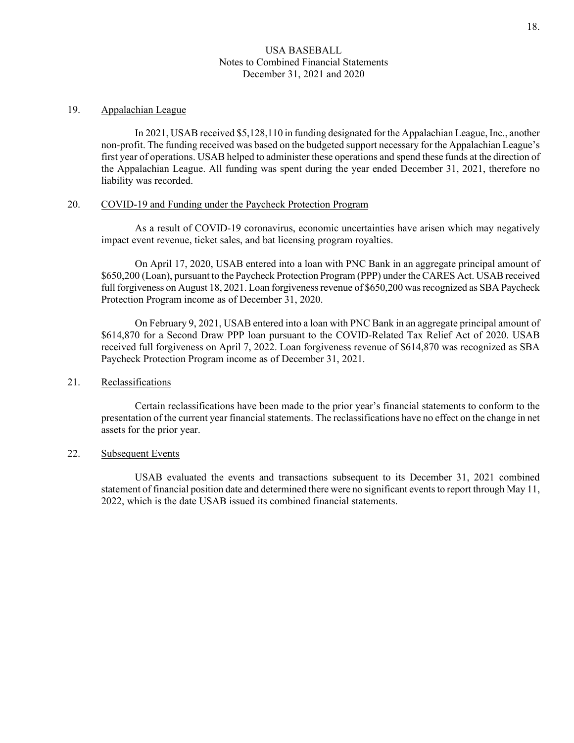### 19. Appalachian League

 In 2021, USAB received \$5,128,110 in funding designated for the Appalachian League, Inc., another non-profit. The funding received was based on the budgeted support necessary for the Appalachian League's first year of operations. USAB helped to administer these operations and spend these funds at the direction of the Appalachian League. All funding was spent during the year ended December 31, 2021, therefore no liability was recorded.

## 20. COVID-19 and Funding under the Paycheck Protection Program

As a result of COVID-19 coronavirus, economic uncertainties have arisen which may negatively impact event revenue, ticket sales, and bat licensing program royalties.

On April 17, 2020, USAB entered into a loan with PNC Bank in an aggregate principal amount of \$650,200 (Loan), pursuant to the Paycheck Protection Program (PPP) under the CARES Act. USAB received full forgiveness on August 18, 2021. Loan forgiveness revenue of \$650,200 was recognized as SBA Paycheck Protection Program income as of December 31, 2020.

 On February 9, 2021, USAB entered into a loan with PNC Bank in an aggregate principal amount of \$614,870 for a Second Draw PPP loan pursuant to the COVID-Related Tax Relief Act of 2020. USAB received full forgiveness on April 7, 2022. Loan forgiveness revenue of \$614,870 was recognized as SBA Paycheck Protection Program income as of December 31, 2021.

### 21. Reclassifications

 Certain reclassifications have been made to the prior year's financial statements to conform to the presentation of the current year financial statements. The reclassifications have no effect on the change in net assets for the prior year.

# 22. Subsequent Events

 USAB evaluated the events and transactions subsequent to its December 31, 2021 combined statement of financial position date and determined there were no significant events to report through May 11, 2022, which is the date USAB issued its combined financial statements.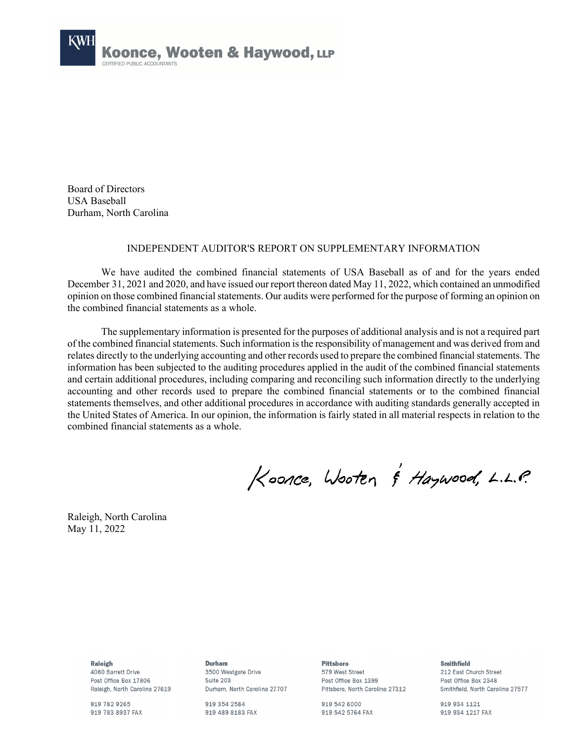

Board of Directors USA Baseball Durham, North Carolina

### INDEPENDENT AUDITOR'S REPORT ON SUPPLEMENTARY INFORMATION

We have audited the combined financial statements of USA Baseball as of and for the years ended December 31, 2021 and 2020, and have issued our report thereon dated May 11, 2022, which contained an unmodified opinion on those combined financial statements. Our audits were performed for the purpose of forming an opinion on the combined financial statements as a whole.

The supplementary information is presented for the purposes of additional analysis and is not a required part of the combined financial statements. Such information is the responsibility of management and was derived from and relates directly to the underlying accounting and other records used to prepare the combined financial statements. The information has been subjected to the auditing procedures applied in the audit of the combined financial statements and certain additional procedures, including comparing and reconciling such information directly to the underlying accounting and other records used to prepare the combined financial statements or to the combined financial statements themselves, and other additional procedures in accordance with auditing standards generally accepted in the United States of America. In our opinion, the information is fairly stated in all material respects in relation to the combined financial statements as a whole.

Koonce, Wooten & Haywood, L.L.P.

Raleigh, North Carolina May 11, 2022

> Raleigh 4060 Barrett Drive Post Office Box 17806 Raleigh, North Carolina 27619

919 782 9265 919 783 8937 FAX

**Durham** 3500 Westgate Drive Suite 203 Durham, North Carolina 27707

919 354 2584 919 489 8183 FAX **Pittsboro** 

579 West Street Post Office Box 1399 Pittsboro, North Carolina 27312

919 542 6000 919 542 5764 FAX **Smithfield** 

212 East Church Street Post Office Box 2348 Smithfield, North Carolina 27577

919 934 1121 919 934 1217 FAX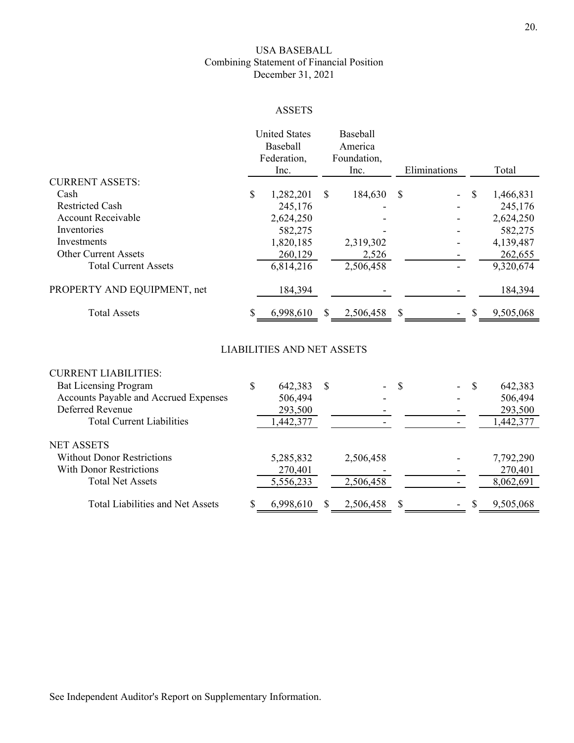# USA BASEBALL Combining Statement of Financial Position December 31, 2021

# ASSETS

|                             | <b>United States</b><br><b>Baseball</b><br>Federation,<br>Inc. |               | <b>Baseball</b><br>America<br>Foundation,<br>Inc. |    | Eliminations             |    | Total     |
|-----------------------------|----------------------------------------------------------------|---------------|---------------------------------------------------|----|--------------------------|----|-----------|
| <b>CURRENT ASSETS:</b>      |                                                                |               |                                                   |    |                          |    |           |
| Cash                        | \$<br>1,282,201                                                | <sup>\$</sup> | 184,630                                           | \$ | $\overline{\phantom{0}}$ | S  | 1,466,831 |
| <b>Restricted Cash</b>      | 245,176                                                        |               |                                                   |    |                          |    | 245,176   |
| <b>Account Receivable</b>   | 2,624,250                                                      |               |                                                   |    |                          |    | 2,624,250 |
| Inventories                 | 582,275                                                        |               |                                                   |    |                          |    | 582,275   |
| Investments                 | 1,820,185                                                      |               | 2,319,302                                         |    |                          |    | 4,139,487 |
| <b>Other Current Assets</b> | 260,129                                                        |               | 2,526                                             |    |                          |    | 262,655   |
| <b>Total Current Assets</b> | 6,814,216                                                      |               | 2,506,458                                         |    |                          |    | 9,320,674 |
| PROPERTY AND EQUIPMENT, net | 184,394                                                        |               |                                                   |    |                          |    | 184,394   |
| <b>Total Assets</b>         | 6,998,610                                                      | \$            | 2,506,458                                         | S. |                          | \$ | 9,505,068 |

### LIABILITIES AND NET ASSETS

| <b>CURRENT LIABILITIES:</b>             |           |    |           |                               |    |           |
|-----------------------------------------|-----------|----|-----------|-------------------------------|----|-----------|
| <b>Bat Licensing Program</b>            | 642,383   | \$ | ÷.        | S<br>$\overline{\phantom{0}}$ | \$ | 642,383   |
| Accounts Payable and Accrued Expenses   | 506,494   |    |           |                               |    | 506,494   |
| Deferred Revenue                        | 293,500   |    |           |                               |    | 293,500   |
| <b>Total Current Liabilities</b>        | 1,442,377 |    |           |                               |    | 1,442,377 |
| <b>NET ASSETS</b>                       |           |    |           |                               |    |           |
| <b>Without Donor Restrictions</b>       | 5,285,832 |    | 2,506,458 |                               |    | 7,792,290 |
| <b>With Donor Restrictions</b>          | 270,401   |    |           |                               |    | 270,401   |
| <b>Total Net Assets</b>                 | 5,556,233 |    | 2,506,458 |                               |    | 8,062,691 |
| <b>Total Liabilities and Net Assets</b> | 6,998,610 | S  | 2,506,458 | S<br>۰.                       | S  | 9,505,068 |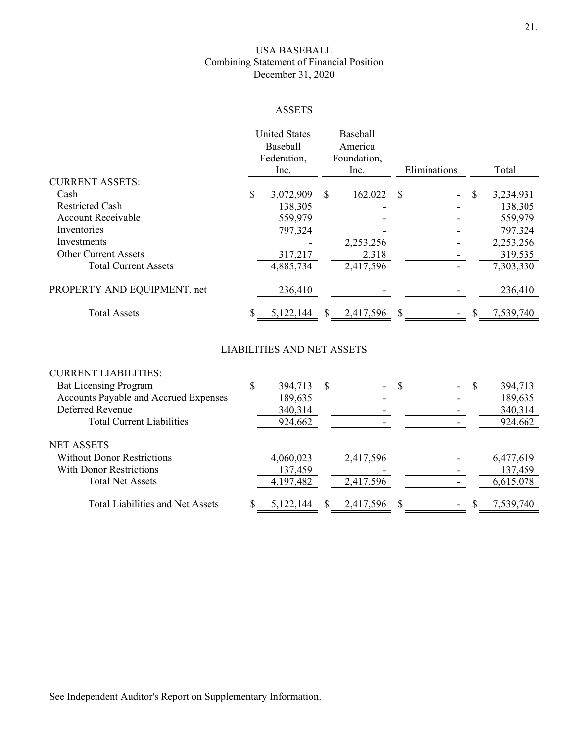# USA BASEBALL Combining Statement of Financial Position December 31, 2020

# ASSETS

|                             | <b>United States</b><br>Baseball<br>Federation,<br>Inc. |             |               | <b>Baseball</b><br>America<br>Foundation,<br>Inc. |               | Eliminations             |    | Total     |
|-----------------------------|---------------------------------------------------------|-------------|---------------|---------------------------------------------------|---------------|--------------------------|----|-----------|
| <b>CURRENT ASSETS:</b>      |                                                         |             |               |                                                   |               |                          |    |           |
| Cash                        | \$                                                      | 3,072,909   | <sup>\$</sup> | 162,022                                           | S             | $\overline{\phantom{0}}$ | S  | 3,234,931 |
| <b>Restricted Cash</b>      |                                                         | 138,305     |               |                                                   |               |                          |    | 138,305   |
| <b>Account Receivable</b>   |                                                         | 559,979     |               |                                                   |               |                          |    | 559,979   |
| Inventories                 |                                                         | 797,324     |               |                                                   |               |                          |    | 797,324   |
| Investments                 |                                                         |             |               | 2,253,256                                         |               |                          |    | 2,253,256 |
| <b>Other Current Assets</b> |                                                         | 317,217     |               | 2,318                                             |               |                          |    | 319,535   |
| <b>Total Current Assets</b> |                                                         | 4,885,734   |               | 2,417,596                                         |               |                          |    | 7,303,330 |
| PROPERTY AND EQUIPMENT, net |                                                         | 236,410     |               |                                                   |               |                          |    | 236,410   |
| <b>Total Assets</b>         |                                                         | 5, 122, 144 | $\mathbb{S}$  | 2,417,596                                         | <sup>\$</sup> |                          | \$ | 7,539,740 |

### LIABILITIES AND NET ASSETS

| <b>CURRENT LIABILITIES:</b>             |           |     |                       |    |    |           |
|-----------------------------------------|-----------|-----|-----------------------|----|----|-----------|
| <b>Bat Licensing Program</b>            | 394,713   | - S | S<br>$\mathbf{r}$     |    | \$ | 394,713   |
| Accounts Payable and Accrued Expenses   | 189,635   |     |                       |    |    | 189,635   |
| Deferred Revenue                        | 340,314   |     |                       |    |    | 340,314   |
| <b>Total Current Liabilities</b>        | 924,662   |     |                       |    |    | 924,662   |
| <b>NET ASSETS</b>                       |           |     |                       |    |    |           |
| <b>Without Donor Restrictions</b>       | 4,060,023 |     | 2,417,596             |    |    | 6,477,619 |
| <b>With Donor Restrictions</b>          | 137,459   |     |                       |    |    | 137,459   |
| <b>Total Net Assets</b>                 | 4,197,482 |     | 2,417,596             |    |    | 6,615,078 |
| <b>Total Liabilities and Net Assets</b> | 5,122,144 | S   | 2,417,596<br><b>S</b> | ۰. | S  | 7,539,740 |

See Independent Auditor's Report on Supplementary Information.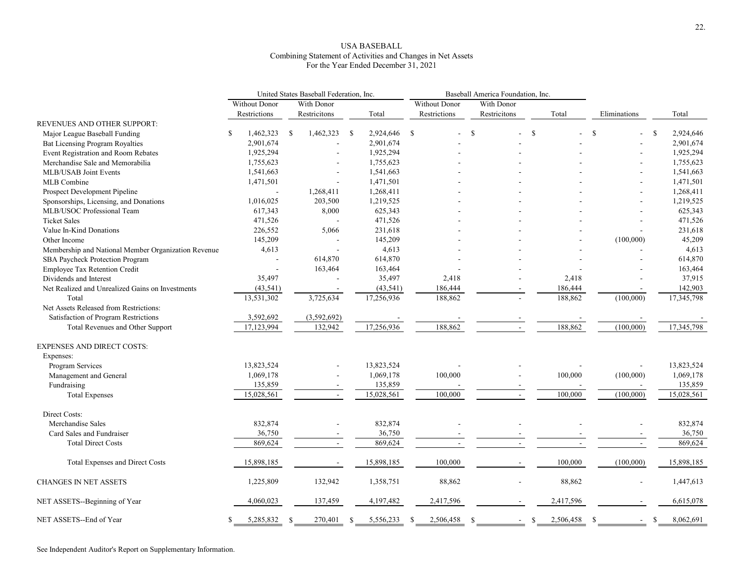#### USA BASEBALL Combining Statement of Activities and Changes in Net Assets For the Year Ended December 31, 2021

|                                                     | United States Baseball Federation, Inc. |               |                          |       | Baseball America Foundation, Inc. |               |               |              |            |               |           |              |           |               |            |
|-----------------------------------------------------|-----------------------------------------|---------------|--------------------------|-------|-----------------------------------|---------------|---------------|--------------|------------|---------------|-----------|--------------|-----------|---------------|------------|
|                                                     | Without Donor                           |               | With Donor               |       |                                   |               | Without Donor |              | With Donor |               |           |              |           |               |            |
|                                                     | Restrictions                            |               | Restricitons             | Total |                                   |               | Restrictions  | Restricitons |            | Total         |           | Eliminations |           | Total         |            |
| REVENUES AND OTHER SUPPORT:                         |                                         |               |                          |       |                                   |               |               |              |            |               |           |              |           |               |            |
| Major League Baseball Funding                       | 1,462,323<br>S                          | <sup>\$</sup> | 1,462,323                | -S    | 2,924,646                         | <sup>\$</sup> |               |              |            | <sup>\$</sup> |           | <sup>S</sup> |           | <sup>\$</sup> | 2.924,646  |
| <b>Bat Licensing Program Royalties</b>              | 2,901,674                               |               |                          |       | 2,901,674                         |               |               |              |            |               |           |              |           |               | 2,901,674  |
| Event Registration and Room Rebates                 | 1,925,294                               |               |                          |       | 1,925,294                         |               |               |              |            |               |           |              |           |               | 1,925,294  |
| Merchandise Sale and Memorabilia                    | 1,755,623                               |               |                          |       | 1,755,623                         |               |               |              |            |               |           |              |           |               | 1,755,623  |
| MLB/USAB Joint Events                               | 1,541,663                               |               |                          |       | 1,541,663                         |               |               |              |            |               |           |              |           |               | 1,541,663  |
| MLB Combine                                         | 1,471,501                               |               | ÷.                       |       | 1,471,501                         |               |               |              |            |               |           |              |           |               | 1,471,501  |
| Prospect Development Pipeline                       |                                         |               | 1,268,411                |       | 1,268,411                         |               |               |              |            |               |           |              |           |               | 1,268,411  |
| Sponsorships, Licensing, and Donations              | 1,016,025                               |               | 203,500                  |       | 1,219,525                         |               |               |              |            |               |           |              |           |               | 1,219,525  |
| MLB/USOC Professional Team                          | 617,343                                 |               | 8,000                    |       | 625,343                           |               |               |              |            |               |           |              |           |               | 625,343    |
| <b>Ticket Sales</b>                                 | 471,526                                 |               |                          |       | 471,526                           |               |               |              |            |               |           |              |           |               | 471,526    |
| Value In-Kind Donations                             | 226,552                                 |               | 5,066                    |       | 231,618                           |               |               |              |            |               |           |              |           |               | 231,618    |
| Other Income                                        | 145,209                                 |               |                          |       | 145,209                           |               |               |              |            |               |           |              | (100,000) |               | 45,209     |
| Membership and National Member Organization Revenue | 4,613                                   |               |                          |       | 4,613                             |               |               |              |            |               |           |              |           |               | 4,613      |
| SBA Paycheck Protection Program                     |                                         |               | 614,870                  |       | 614,870                           |               |               |              |            |               |           |              |           |               | 614,870    |
| <b>Employee Tax Retention Credit</b>                |                                         |               | 163,464                  |       | 163,464                           |               |               |              |            |               |           |              |           |               | 163,464    |
| Dividends and Interest                              | 35,497                                  |               |                          |       | 35,497                            |               | 2,418         |              |            |               | 2,418     |              |           |               | 37,915     |
| Net Realized and Unrealized Gains on Investments    | (43, 541)                               |               |                          |       | (43, 541)                         |               | 186,444       |              |            |               | 186,444   |              |           |               | 142,903    |
| Total                                               | 13,531,302                              |               | 3,725,634                |       | 17,256,936                        |               | 188,862       |              |            |               | 188,862   |              | (100,000) |               | 17,345,798 |
| Net Assets Released from Restrictions:              |                                         |               |                          |       |                                   |               |               |              |            |               |           |              |           |               |            |
| Satisfaction of Program Restrictions                | 3,592,692                               |               | (3,592,692)              |       |                                   |               |               |              |            |               |           |              |           |               |            |
| Total Revenues and Other Support                    | 17,123,994                              |               | 132,942                  |       | 17,256,936                        |               | 188,862       |              | $\sim$     |               | 188,862   |              | (100,000) |               | 17,345,798 |
| <b>EXPENSES AND DIRECT COSTS:</b>                   |                                         |               |                          |       |                                   |               |               |              |            |               |           |              |           |               |            |
| Expenses:                                           |                                         |               |                          |       |                                   |               |               |              |            |               |           |              |           |               |            |
| Program Services                                    | 13,823,524                              |               |                          |       | 13,823,524                        |               |               |              |            |               |           |              |           |               | 13,823,524 |
| Management and General                              | 1,069,178                               |               |                          |       | 1,069,178                         |               | 100,000       |              |            |               | 100,000   |              | (100,000) |               | 1,069,178  |
| Fundraising                                         | 135,859                                 |               | $\overline{\phantom{a}}$ |       | 135,859                           |               |               |              |            |               |           |              |           |               | 135,859    |
| <b>Total Expenses</b>                               | 15,028,561                              |               |                          |       | 15,028,561                        |               | 100,000       |              |            |               | 100,000   |              | (100,000) |               | 15,028,561 |
| Direct Costs:                                       |                                         |               |                          |       |                                   |               |               |              |            |               |           |              |           |               |            |
| Merchandise Sales                                   | 832,874                                 |               |                          |       | 832,874                           |               |               |              |            |               |           |              |           |               | 832,874    |
| Card Sales and Fundraiser                           | 36,750                                  |               |                          |       | 36,750                            |               |               |              |            |               |           |              |           |               | 36,750     |
| <b>Total Direct Costs</b>                           | 869,624                                 |               | $\sim$                   |       | 869,624                           |               |               |              |            |               |           |              |           |               | 869,624    |
| Total Expenses and Direct Costs                     | 15,898,185                              |               |                          |       | 15,898,185                        |               | 100,000       |              |            |               | 100,000   |              | (100,000) |               | 15,898,185 |
| <b>CHANGES IN NET ASSETS</b>                        | 1,225,809                               |               | 132,942                  |       | 1,358,751                         |               | 88,862        |              |            |               | 88,862    |              |           |               | 1,447,613  |
| NET ASSETS-Beginning of Year                        | 4,060,023                               |               | 137,459                  |       | 4,197,482                         |               | 2,417,596     |              |            |               | 2,417,596 |              |           |               | 6,615,078  |
| NET ASSETS--End of Year                             | 5,285,832                               | S             | 270,401                  |       | 5,556,233                         |               | 2,506,458     |              |            | <sup>\$</sup> | 2,506,458 |              |           | S             | 8,062,691  |